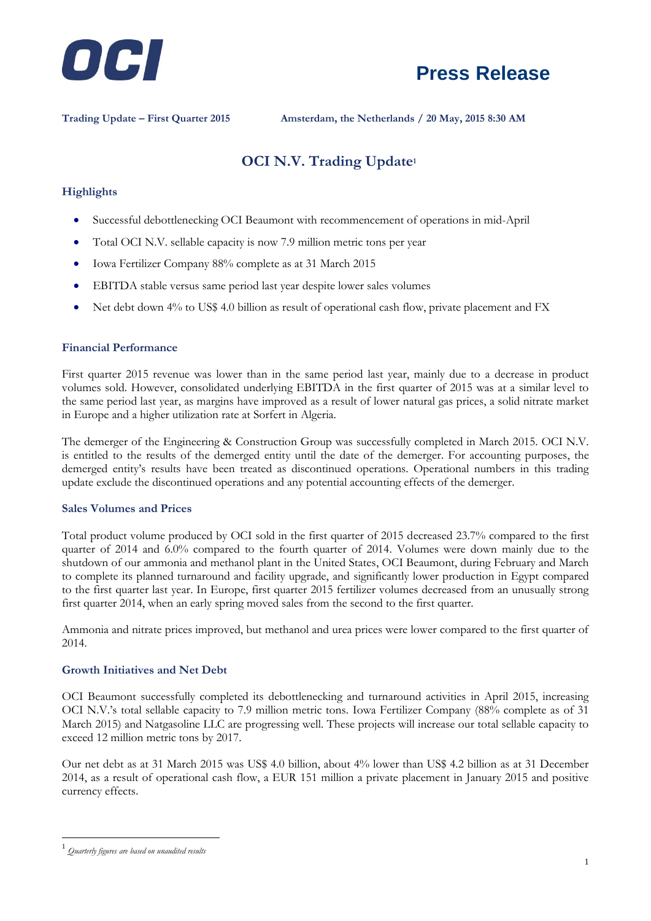



**Trading Update – First Quarter 2015 Amsterdam, the Netherlands / 20 May, 2015 8:30 AM**

# **OCI N.V. Trading Update<sup>1</sup>**

#### **Highlights**

- Successful debottlenecking OCI Beaumont with recommencement of operations in mid-April
- Total OCI N.V. sellable capacity is now 7.9 million metric tons per year
- Iowa Fertilizer Company 88% complete as at 31 March 2015
- EBITDA stable versus same period last year despite lower sales volumes
- Net debt down 4% to US\$ 4.0 billion as result of operational cash flow, private placement and FX

#### **Financial Performance**

First quarter 2015 revenue was lower than in the same period last year, mainly due to a decrease in product volumes sold. However, consolidated underlying EBITDA in the first quarter of 2015 was at a similar level to the same period last year, as margins have improved as a result of lower natural gas prices, a solid nitrate market in Europe and a higher utilization rate at Sorfert in Algeria.

The demerger of the Engineering & Construction Group was successfully completed in March 2015. OCI N.V. is entitled to the results of the demerged entity until the date of the demerger. For accounting purposes, the demerged entity's results have been treated as discontinued operations. Operational numbers in this trading update exclude the discontinued operations and any potential accounting effects of the demerger.

#### **Sales Volumes and Prices**

Total product volume produced by OCI sold in the first quarter of 2015 decreased 23.7% compared to the first quarter of 2014 and 6.0% compared to the fourth quarter of 2014. Volumes were down mainly due to the shutdown of our ammonia and methanol plant in the United States, OCI Beaumont, during February and March to complete its planned turnaround and facility upgrade, and significantly lower production in Egypt compared to the first quarter last year. In Europe, first quarter 2015 fertilizer volumes decreased from an unusually strong first quarter 2014, when an early spring moved sales from the second to the first quarter.

Ammonia and nitrate prices improved, but methanol and urea prices were lower compared to the first quarter of 2014.

#### **Growth Initiatives and Net Debt**

OCI Beaumont successfully completed its debottlenecking and turnaround activities in April 2015, increasing OCI N.V.'s total sellable capacity to 7.9 million metric tons. Iowa Fertilizer Company (88% complete as of 31 March 2015) and Natgasoline LLC are progressing well. These projects will increase our total sellable capacity to exceed 12 million metric tons by 2017.

Our net debt as at 31 March 2015 was US\$ 4.0 billion, about 4% lower than US\$ 4.2 billion as at 31 December 2014, as a result of operational cash flow, a EUR 151 million a private placement in January 2015 and positive currency effects.

1

<sup>1</sup> *Quarterly figures are based on unaudited results*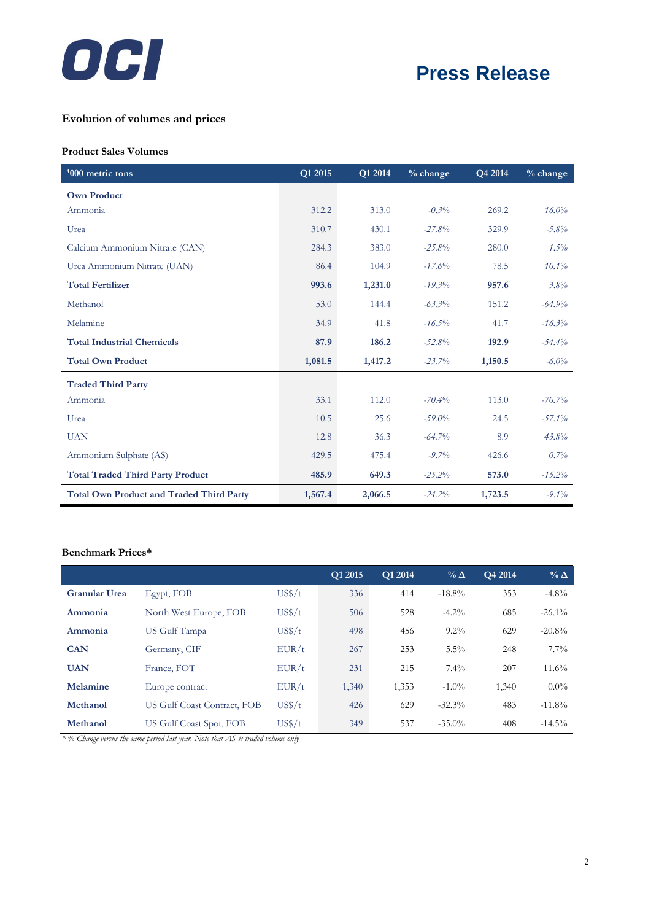

# **Press Release**

## **Evolution of volumes and prices**

#### **Product Sales Volumes**

| '000 metric tons                                | Q1 2015 | <b>Q1 2014</b> | $%$ change | Q4 2014 | $%$ change |
|-------------------------------------------------|---------|----------------|------------|---------|------------|
| <b>Own Product</b>                              |         |                |            |         |            |
| Ammonia                                         | 312.2   | 313.0          | $-0.3%$    | 269.2   | 16.0%      |
| Urea                                            | 310.7   | 430.1          | $-27.8%$   | 329.9   | $-5.8\%$   |
| Calcium Ammonium Nitrate (CAN)                  | 284.3   | 383.0          | $-25.8%$   | 280.0   | $1.5\%$    |
| Urea Ammonium Nitrate (UAN)                     | 86.4    | 104.9          | $-17.6%$   | 78.5    | $10.1\%$   |
| <b>Total Fertilizer</b>                         | 993.6   | 1,231.0        | $-19.3%$   | 957.6   | 3.8%       |
| Methanol                                        | 53.0    | 144.4          | $-63.3\%$  | 151.2   | $-64.9%$   |
| Melamine                                        | 34.9    | 41.8           | $-16.5%$   | 41.7    | $-16.3%$   |
| <b>Total Industrial Chemicals</b>               | 87.9    | 186.2          | $-52.8%$   | 192.9   | $-54.4%$   |
| <b>Total Own Product</b>                        | 1,081.5 | 1,417.2        | $-23.7%$   | 1,150.5 | $-6.0\%$   |
| <b>Traded Third Party</b>                       |         |                |            |         |            |
| Ammonia                                         | 33.1    | 112.0          | $-70.4%$   | 113.0   | $-70.7%$   |
| Urea                                            | 10.5    | 25.6           | $-59.0%$   | 24.5    | $-57.1%$   |
| <b>UAN</b>                                      | 12.8    | 36.3           | $-64.7%$   | 8.9     | 43.8%      |
| Ammonium Sulphate (AS)                          | 429.5   | 475.4          | $-9.7\%$   | 426.6   | $0.7\%$    |
| <b>Total Traded Third Party Product</b>         | 485.9   | 649.3          | $-25.2%$   | 573.0   | $-15.2%$   |
| <b>Total Own Product and Traded Third Party</b> | 1,567.4 | 2,066.5        | $-24.2%$   | 1,723.5 | $-9.1\%$   |

### **Benchmark Prices\***

|                      |                             |        | O1 2015 | Q1 2014 | $\%$ $\Delta$ | O <sub>4</sub> 2014 | $\%$ $\Delta$ |
|----------------------|-----------------------------|--------|---------|---------|---------------|---------------------|---------------|
| <b>Granular Urea</b> | Egypt, FOB                  | US\$/t | 336     | 414     | $-18.8%$      | 353                 | $-4.8\%$      |
| Ammonia              | North West Europe, FOB      | US\$/t | 506     | 528     | $-4.2\%$      | 685                 | $-26.1\%$     |
| Ammonia              | US Gulf Tampa               | US\$/t | 498     | 456     | $9.2\%$       | 629                 | $-20.8%$      |
| <b>CAN</b>           | Germany, CIF                | EUR/t  | 267     | 253     | $5.5\%$       | 248                 | $7.7\%$       |
| <b>UAN</b>           | France, FOT                 | EUR/t  | 231     | 215     | $7.4\%$       | 207                 | 11.6%         |
| Melamine             | Europe contract             | EUR/t  | 1,340   | 1,353   | $-1.0\%$      | 1,340               | $0.0\%$       |
| Methanol             | US Gulf Coast Contract, FOB | US\$/t | 426     | 629     | $-32.3%$      | 483                 | $-11.8%$      |
| Methanol             | US Gulf Coast Spot, FOB     | US\$/t | 349     | 537     | $-35.0\%$     | 408                 | $-14.5\%$     |

*\* % Change versus the same period last year. Note that AS is traded volume only*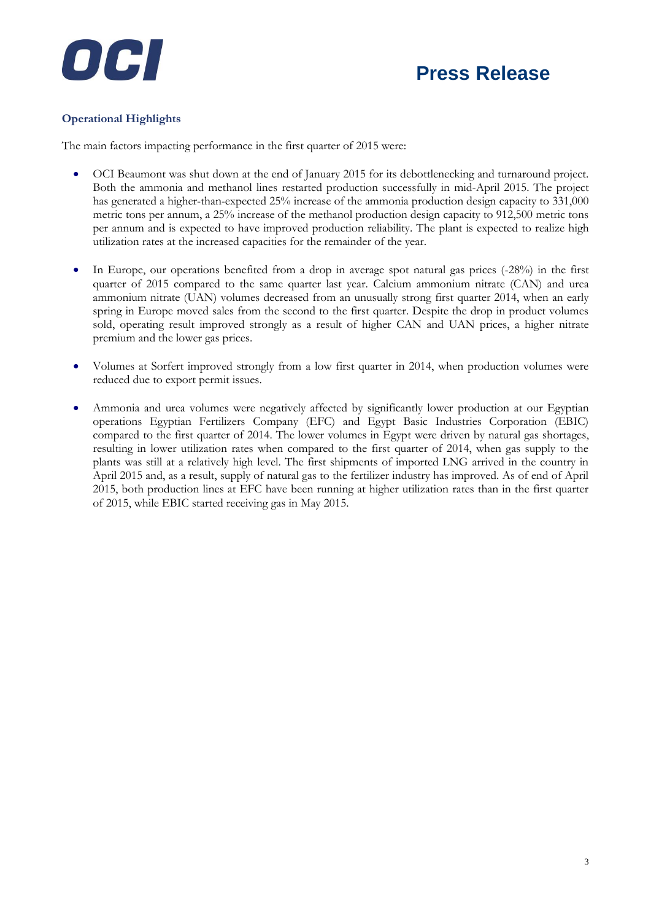



### **Operational Highlights**

The main factors impacting performance in the first quarter of 2015 were:

- OCI Beaumont was shut down at the end of January 2015 for its debottlenecking and turnaround project. Both the ammonia and methanol lines restarted production successfully in mid-April 2015. The project has generated a higher-than-expected 25% increase of the ammonia production design capacity to 331,000 metric tons per annum, a 25% increase of the methanol production design capacity to 912,500 metric tons per annum and is expected to have improved production reliability. The plant is expected to realize high utilization rates at the increased capacities for the remainder of the year.
- In Europe, our operations benefited from a drop in average spot natural gas prices (-28%) in the first quarter of 2015 compared to the same quarter last year. Calcium ammonium nitrate (CAN) and urea ammonium nitrate (UAN) volumes decreased from an unusually strong first quarter 2014, when an early spring in Europe moved sales from the second to the first quarter. Despite the drop in product volumes sold, operating result improved strongly as a result of higher CAN and UAN prices, a higher nitrate premium and the lower gas prices.
- Volumes at Sorfert improved strongly from a low first quarter in 2014, when production volumes were reduced due to export permit issues.
- Ammonia and urea volumes were negatively affected by significantly lower production at our Egyptian operations Egyptian Fertilizers Company (EFC) and Egypt Basic Industries Corporation (EBIC) compared to the first quarter of 2014. The lower volumes in Egypt were driven by natural gas shortages, resulting in lower utilization rates when compared to the first quarter of 2014, when gas supply to the plants was still at a relatively high level. The first shipments of imported LNG arrived in the country in April 2015 and, as a result, supply of natural gas to the fertilizer industry has improved. As of end of April 2015, both production lines at EFC have been running at higher utilization rates than in the first quarter of 2015, while EBIC started receiving gas in May 2015.